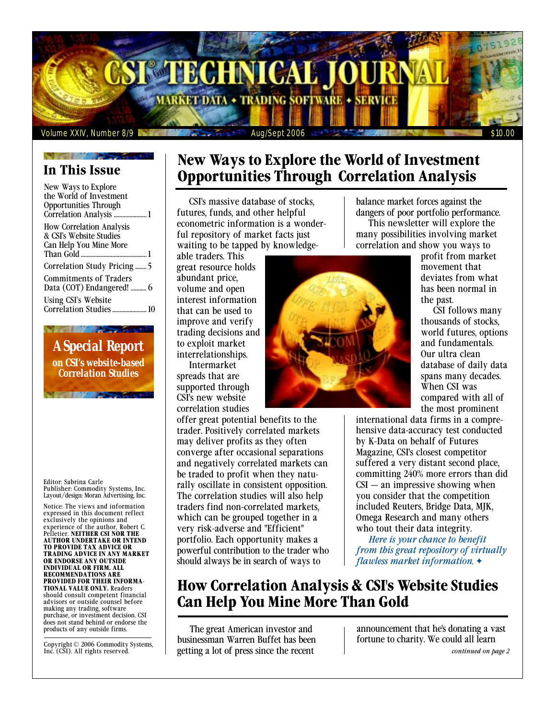

# **In This Issue**

| New Ways to Explore                                     |
|---------------------------------------------------------|
| the World of Investment<br><b>Opportunities Through</b> |
|                                                         |
| <b>How Correlation Analysis</b>                         |
| & CSI's Website Studies                                 |
| Can Help You Mine More                                  |
|                                                         |
| <b>Correlation Study Pricing </b> 5                     |
| Commitments of Traders                                  |
|                                                         |
| Using CSI's Website                                     |
|                                                         |
|                                                         |

*A Special Report on CSI's website-based Correlation Studies* 

Editor: Sabrina Carle Publisher: Commodity Systems, Inc. Layout/design: Moran Advertising, Inc.

Notice: The views and information expressed in this document reflect exclusively the opinions and experience of the author, Robert C. Pelletier. **NEITHER CSI NOR THE AUTHOR UNDERTAKE OR INTEND TO PROVIDE TAX ADVICE OR TRADING ADVICE IN ANY MARKET OR ENDORSE ANY OUTSIDE INDIVIDUAL OR FIRM. ALL RECOMMENDATIONS ARE PROVIDED FOR THEIR INFORMA-TIONAL VALUE ONLY.** Readers should consult competent financial advisors or outside counsel before making any trading, software purchase, or investment decision. CSI does not stand behind or endorse the products of any outside firms.

Copyright © 2006 Commodity Systems, Inc. (CSI). All rights reserved.

# **New Ways to Explore the World of Investment Opportunities Through Correlation Analysis**

CSI's massive database of stocks, futures, funds, and other helpful econometric information is a wonderful repository of market facts just waiting to be tapped by knowledge-

able traders. This great resource holds abundant price, volume and open interest information that can be used to improve and verify trading decisions and to exploit market interrelationships. Intermarket

spreads that are supported through CSI's new website correlation studies

offer great potential benefits to the trader. Positively correlated markets may deliver profits as they often converge after occasional separations and negatively correlated markets can be traded to profit when they naturally oscillate in consistent opposition. The correlation studies will also help traders find non-correlated markets, which can be grouped together in a very risk-adverse and "Efficient" portfolio. Each opportunity makes a powerful contribution to the trader who should always be in search of ways to

balance market forces against the dangers of poor portfolio performance. This newsletter will explore the many possibilities involving market correlation and show you ways to

profit from market movement that deviates from what has been normal in the past.

CSI follows many thousands of stocks, world futures, options and fundamentals. Our ultra clean database of daily data spans many decades. When CSI was compared with all of the most prominent

international data firms in a comprehensive data-accuracy test conducted by K-Data on behalf of Futures Magazine, CSI's closest competitor suffered a very distant second place, committing 240% more errors than did  $CSI - an$  impressive showing when you consider that the competition included Reuters, Bridge Data, MJK, Omega Research and many others who tout their data integrity.

*Here is your chance to benefit from this great repository of virtually flawless market information.* ✦

# **How Correlation Analysis & CSI's Website Studies Can Help You Mine More Than Gold**

The great American investor and businessman Warren Buffet has been getting a lot of press since the recent

announcement that he's donating a vast fortune to charity. We could all learn

*continued on page 2* 

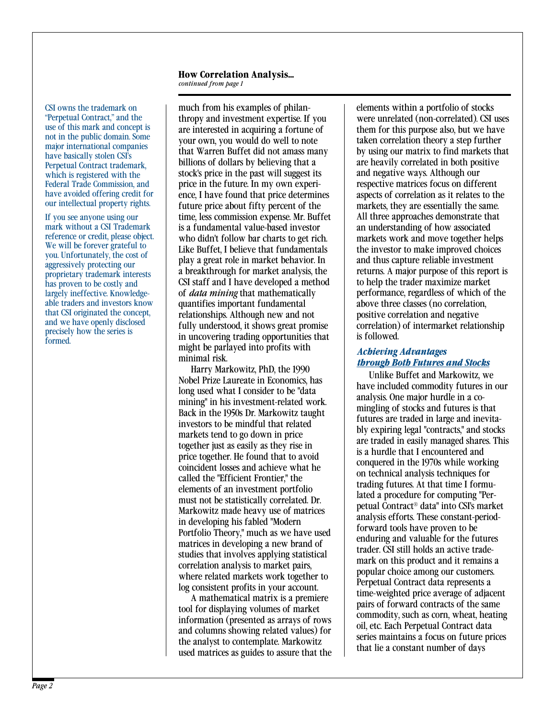### **How Correlation Analysis...**

*continued from page 1* 

CSI owns the trademark on "Perpetual Contract," and the use of this mark and concept is not in the public domain. Some major international companies have basically stolen CSI's Perpetual Contract trademark, which is registered with the Federal Trade Commission, and have avoided offering credit for our intellectual property rights.

If you see anyone using our mark without a CSI Trademark reference or credit, please object. We will be forever grateful to you. Unfortunately, the cost of aggressively protecting our proprietary trademark interests has proven to be costly and largely ineffective. Knowledgeable traders and investors know that CSI originated the concept, and we have openly disclosed precisely how the series is formed.

much from his examples of philanthropy and investment expertise. If you are interested in acquiring a fortune of your own, you would do well to note that Warren Buffet did not amass many billions of dollars by believing that a stock's price in the past will suggest its price in the future. In my own experience, I have found that price determines future price about fifty percent of the time, less commission expense. Mr. Buffet is a fundamental value-based investor who didn't follow bar charts to get rich. Like Buffet, I believe that fundamentals play a great role in market behavior. In a breakthrough for market analysis, the CSI staff and I have developed a method of *data mining* that mathematically quantifies important fundamental relationships. Although new and not fully understood, it shows great promise in uncovering trading opportunities that might be parlayed into profits with minimal risk.

Harry Markowitz, PhD, the 1990 Nobel Prize Laureate in Economics, has long used what I consider to be "data mining" in his investment-related work. Back in the 1950s Dr. Markowitz taught investors to be mindful that related markets tend to go down in price together just as easily as they rise in price together. He found that to avoid coincident losses and achieve what he called the "Efficient Frontier," the elements of an investment portfolio must not be statistically correlated. Dr. Markowitz made heavy use of matrices in developing his fabled "Modern Portfolio Theory," much as we have used matrices in developing a new brand of studies that involves applying statistical correlation analysis to market pairs, where related markets work together to log consistent profits in your account.

A mathematical matrix is a premiere tool for displaying volumes of market information (presented as arrays of rows and columns showing related values) for the analyst to contemplate. Markowitz used matrices as guides to assure that the

elements within a portfolio of stocks were unrelated (non-correlated). CSI uses them for this purpose also, but we have taken correlation theory a step further by using our matrix to find markets that are heavily correlated in both positive and negative ways. Although our respective matrices focus on different aspects of correlation as it relates to the markets, they are essentially the same. All three approaches demonstrate that an understanding of how associated markets work and move together helps the investor to make improved choices and thus capture reliable investment returns. A major purpose of this report is to help the trader maximize market performance, regardless of which of the above three classes (no correlation, positive correlation and negative correlation) of intermarket relationship is followed.

### *Achieving Advantages through Both Futures and Stocks*

Unlike Buffet and Markowitz, we have included commodity futures in our analysis. One major hurdle in a comingling of stocks and futures is that futures are traded in large and inevitably expiring legal "contracts," and stocks are traded in easily managed shares. This is a hurdle that I encountered and conquered in the 1970s while working on technical analysis techniques for trading futures. At that time I formulated a procedure for computing "Perpetual Contract® data" into CSI's market analysis efforts. These constant-periodforward tools have proven to be enduring and valuable for the futures trader. CSI still holds an active trademark on this product and it remains a popular choice among our customers. Perpetual Contract data represents a time-weighted price average of adjacent pairs of forward contracts of the same commodity, such as corn, wheat, heating oil, etc. Each Perpetual Contract data series maintains a focus on future prices that lie a constant number of days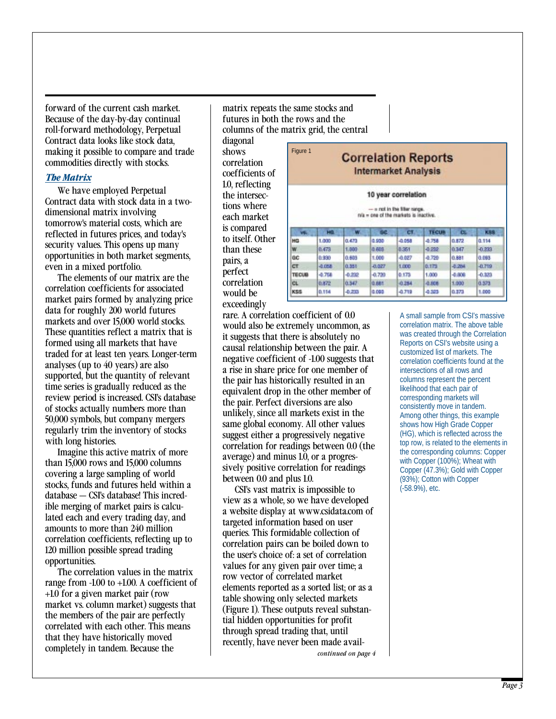forward of the current cash market. Because of the day-by-day continual roll-forward methodology, Perpetual Contract data looks like stock data, making it possible to compare and trade commodities directly with stocks.

#### *The Matrix*

We have employed Perpetual Contract data with stock data in a twodimensional matrix involving tomorrow's material costs, which are reflected in futures prices, and today's security values. This opens up many opportunities in both market segments, even in a mixed portfolio.

The elements of our matrix are the correlation coefficients for associated market pairs formed by analyzing price data for roughly 200 world futures markets and over 15,000 world stocks. These quantities reflect a matrix that is formed using all markets that have traded for at least ten years. Longer-term analyses (up to 40 years) are also supported, but the quantity of relevant time series is gradually reduced as the review period is increased. CSI's database of stocks actually numbers more than 50,000 symbols, but company mergers regularly trim the inventory of stocks with long histories.

Imagine this active matrix of more than 15,000 rows and 15,000 columns covering a large sampling of world stocks, funds and futures held within a database — CSI's database! This incredible merging of market pairs is calculated each and every trading day, and amounts to more than 240 million correlation coefficients, reflecting up to 120 million possible spread trading opportunities.

The correlation values in the matrix range from -1.00 to +1.00. A coefficient of +1.0 for a given market pair (row market vs. column market) suggests that the members of the pair are perfectly correlated with each other. This means that they have historically moved completely in tandem. Because the

matrix repeats the same stocks and futures in both the rows and the columns of the matrix grid, the central

diagonal shows correlation coefficients of 1.0, reflecting the intersections where each market is compared to itself. Other than these pairs, a perfect correlation would be exceedingly

| Figure 1<br><b>Correlation Reports</b><br><b>Intermarket Analysis</b><br>10 year correlation<br>- a not in the filter range.<br>nia - one of the markets is inactive. |       |          |          |        |       |          |          |  |
|-----------------------------------------------------------------------------------------------------------------------------------------------------------------------|-------|----------|----------|--------|-------|----------|----------|--|
|                                                                                                                                                                       |       |          |          |        |       |          |          |  |
| HG                                                                                                                                                                    | 1,000 | 0.473    | 0.930    | -0.058 | 4.758 | 0.872    | 0.114    |  |
|                                                                                                                                                                       |       |          |          |        |       |          |          |  |
| w                                                                                                                                                                     | 0.473 | 1.000    | 0.603    | 8.351  | 0.252 | 0.347    | $-0.233$ |  |
| üĆ                                                                                                                                                                    | 0.930 | 0.609    | 1.000    | 0.027  | 4.720 | 0.881    | 0.083    |  |
| CT                                                                                                                                                                    | 4.058 | 0.358    | $-0.027$ | 1,000  | 0.175 | $-0.264$ | $-0.719$ |  |
| <b>TECUB</b>                                                                                                                                                          | 4.768 | $-0.232$ | $-0.720$ | 0.173  | 1,000 | $-0.808$ | $-0.323$ |  |
| CL.                                                                                                                                                                   | 0.872 | 0.347    | 0.681    | 0.254  | 4.808 | 1,000    | 0.873    |  |

rare. A correlation coefficient of 0.0 would also be extremely uncommon, as it suggests that there is absolutely no causal relationship between the pair. A negative coefficient of -1.00 suggests that a rise in share price for one member of the pair has historically resulted in an equivalent drop in the other member of the pair. Perfect diversions are also unlikely, since all markets exist in the same global economy. All other values suggest either a progressively negative correlation for readings between 0.0 (the average) and minus 1.0, or a progressively positive correlation for readings between 0.0 and plus 1.0.

*continued on page 4*  CSI's vast matrix is impossible to view as a whole, so we have developed a website display at www.csidata.com of targeted information based on user queries. This formidable collection of correlation pairs can be boiled down to the user's choice of: a set of correlation values for any given pair over time; a row vector of correlated market elements reported as a sorted list; or as a table showing only selected markets (Figure 1). These outputs reveal substantial hidden opportunities for profit through spread trading that, until recently, have never been made availA small sample from CSI's massive correlation matrix. The above table was created through the Correlation Reports on CSI's website using a customized list of markets. The correlation coefficients found at the intersections of all rows and columns represent the percent likelihood that each pair of corresponding markets will consistently move in tandem. Among other things, this example shows how High Grade Copper (HG), which is reflected across the top row, is related to the elements in the corresponding columns: Copper with Copper (100%); Wheat with Copper (47.3%); Gold with Copper (93%); Cotton with Copper (-58.9%), etc.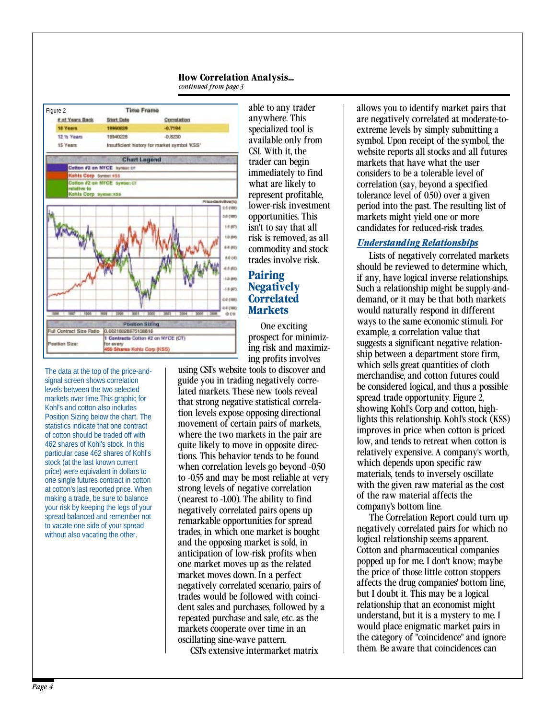### **How Correlation Analysis...**





The data at the top of the price-andsignal screen shows correlation levels between the two selected markets over time.This graphic for Kohl's and cotton also includes Position Sizing below the chart. The statistics indicate that one contract of cotton should be traded off with 462 shares of Kohl's stock. In this particular case 462 shares of Kohl's stock (at the last known current price) were equivalent in dollars to one single futures contract in cotton at cotton's last reported price. When making a trade, be sure to balance your risk by keeping the legs of your spread balanced and remember not to vacate one side of your spread without also vacating the other.

able to any trader anywhere. This specialized tool is available only from CSI. With it, the trader can begin immediately to find what are likely to represent profitable, lower-risk investment opportunities. This isn't to say that all risk is removed, as all commodity and stock trades involve risk.

### **Pairing Negatively Correlated Markets**

One exciting prospect for minimizing risk and maximizing profits involves

using CSI's website tools to discover and guide you in trading negatively correlated markets. These new tools reveal that strong negative statistical correlation levels expose opposing directional movement of certain pairs of markets, where the two markets in the pair are quite likely to move in opposite directions. This behavior tends to be found when correlation levels go beyond -0.50 to -0.55 and may be most reliable at very strong levels of negative correlation (nearest to -1.00). The ability to find negatively correlated pairs opens up remarkable opportunities for spread trades, in which one market is bought and the opposing market is sold, in anticipation of low-risk profits when one market moves up as the related market moves down. In a perfect negatively correlated scenario, pairs of trades would be followed with coincident sales and purchases, followed by a repeated purchase and sale, etc. as the markets cooperate over time in an oscillating sine-wave pattern.

CSI's extensive intermarket matrix

allows you to identify market pairs that are negatively correlated at moderate-toextreme levels by simply submitting a symbol. Upon receipt of the symbol, the website reports all stocks and all futures markets that have what the user considers to be a tolerable level of correlation (say, beyond a specified tolerance level of 0.50) over a given period into the past. The resulting list of markets might yield one or more candidates for reduced-risk trades.

### *Understanding Relationships*

Lists of negatively correlated markets should be reviewed to determine which, if any, have logical inverse relationships. Such a relationship might be supply-anddemand, or it may be that both markets would naturally respond in different ways to the same economic stimuli. For example, a correlation value that suggests a significant negative relationship between a department store firm, which sells great quantities of cloth merchandise, and cotton futures could be considered logical, and thus a possible spread trade opportunity. Figure 2, showing Kohl's Corp and cotton, highlights this relationship. Kohl's stock (KSS) improves in price when cotton is priced low, and tends to retreat when cotton is relatively expensive. A company's worth, which depends upon specific raw materials, tends to inversely oscillate with the given raw material as the cost of the raw material affects the company's bottom line.

The Correlation Report could turn up negatively correlated pairs for which no logical relationship seems apparent. Cotton and pharmaceutical companies popped up for me. I don't know; maybe the price of those little cotton stoppers affects the drug companies' bottom line, but I doubt it. This may be a logical relationship that an economist might understand, but it is a mystery to me. I would place enigmatic market pairs in the category of "coincidence" and ignore them. Be aware that coincidences can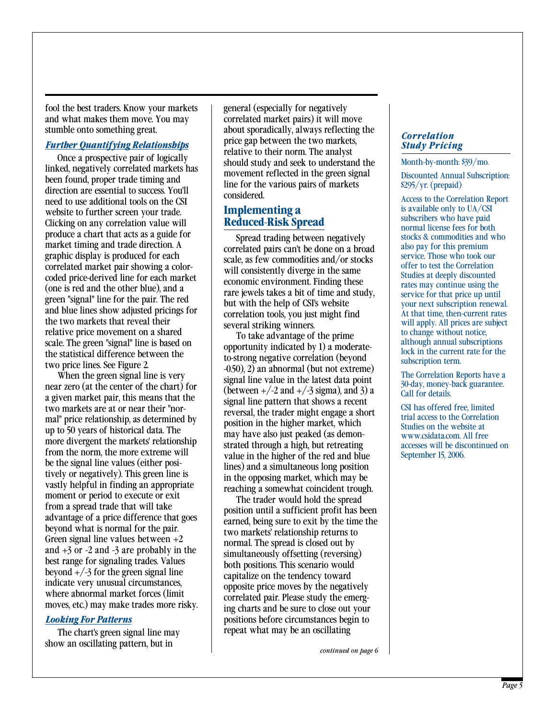fool the best traders. Know your markets | general (especially for negatively and what makes them move. You may correlated market pairs) it will move stumble onto something great.

#### *Further Quantifying Relationships*

Once a prospective pair of logically linked, negatively correlated markets has been found, proper trade timing and direction are essential to success. You'll need to use additional tools on the CSI website to further screen your trade. Clicking on any correlation value will produce a chart that acts as a guide for market timing and trade direction. A graphic display is produced for each correlated market pair showing a colorcoded price-derived line for each market (one is red and the other blue), and a green "signal" line for the pair. The red and blue lines show adjusted pricings for the two markets that reveal their relative price movement on a shared scale. The green "signal" line is based on the statistical difference between the two price lines. See Figure 2.

When the green signal line is very near zero (at the center of the chart) for a given market pair, this means that the two markets are at or near their "normal" price relationship, as determined by up to 50 years of historical data. The more divergent the markets' relationship from the norm, the more extreme will be the signal line values (either positively or negatively). This green line is vastly helpful in finding an appropriate moment or period to execute or exit from a spread trade that will take advantage of a price difference that goes beyond what is normal for the pair. Green signal line values between  $+2$ and  $+3$  or  $-2$  and  $-3$  are probably in the best range for signaling trades. Values beyond  $+\frac{3}{5}$  for the green signal line indicate very unusual circumstances, where abnormal market forces (limit moves, etc.) may make trades more risky.

show an oscillating pattern, but in **continued on page 6** *continued on page 6* 

about sporadically, always reflecting the price gap between the two markets, relative to their norm. The analyst should study and seek to understand the movement reflected in the green signal line for the various pairs of markets considered.

### **Implementing a Reduced-Risk Spread**

Spread trading between negatively correlated pairs can't be done on a broad scale, as few commodities and/or stocks will consistently diverge in the same economic environment. Finding these rare jewels takes a bit of time and study, but with the help of CSI's website correlation tools, you just might find several striking winners.

To take advantage of the prime opportunity indicated by 1) a moderateto-strong negative correlation (beyond -0.50), 2) an abnormal (but not extreme) signal line value in the latest data point (between  $\pm$ /-2 and  $\pm$ /-3 sigma), and 3) a signal line pattern that shows a recent reversal, the trader might engage a short position in the higher market, which may have also just peaked (as demonstrated through a high, but retreating value in the higher of the red and blue lines) and a simultaneous long position in the opposing market, which may be reaching a somewhat coincident trough.

The trader would hold the spread position until a sufficient profit has been earned, being sure to exit by the time the two markets' relationship returns to normal. The spread is closed out by simultaneously offsetting (reversing) both positions. This scenario would capitalize on the tendency toward opposite price moves by the negatively correlated pair. Please study the emerging charts and be sure to close out your *Looking For Patterns* **positions before circumstances begin to** The chart's green signal line may repeat what may be an oscillating

*Correlation Study Pricing* 

#### Month-by-month: \$39/mo.

Discounted Annual Subscription: \$295/yr. (prepaid)

Access to the Correlation Report is available only to UA/CSI subscribers who have paid normal license fees for both stocks & commodities and who also pay for this premium service. Those who took our offer to test the Correlation Studies at deeply discounted rates may continue using the service for that price up until your next subscription renewal. At that time, then-current rates will apply. All prices are subject to change without notice, although annual subscriptions lock in the current rate for the subscription term.

The Correlation Reports have a 30-day, money-back guarantee. Call for details.

CSI has offered free, limited trial access to the Correlation Studies on the website at www.csidata.com. All free accesses will be discontinued on September 15, 2006.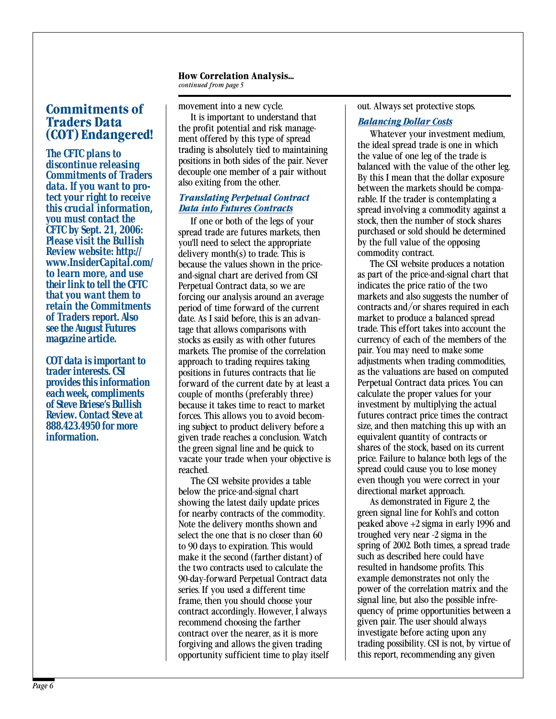### **How Correlation Analysis...**

*continued from page 5* 

## **Commitments of Traders Data (COT) Endangered!**

*The CFTC plans to discontinue releasing Commitments of Traders data. If you want to protect your right to receive this crucial information, you must contact the CFTC by Sept. 21, 2006: Please visit the Bullish Review website: http:// www.InsiderCapital.com/ to learn more, and use their link to tell the CFTC that you want them to retain the Commitments of Traders report. Also see the August Futures magazine article.* 

*COT data is important to trader interests. CSI provides this information each week, compliments of Steve Briese's Bullish Review. Contact Steve at 888.423.4950 for more information.* 

movement into a new cycle. It is important to understand that the profit potential and risk management offered by this type of spread trading is absolutely tied to maintaining positions in both sides of the pair. Never decouple one member of a pair without also exiting from the other.

### *Translating Perpetual Contract Data into Futures Contracts*

If one or both of the legs of your spread trade are futures markets, then you'll need to select the appropriate delivery month(s) to trade. This is because the values shown in the priceand-signal chart are derived from CSI Perpetual Contract data, so we are forcing our analysis around an average period of time forward of the current date. As I said before, this is an advantage that allows comparisons with stocks as easily as with other futures markets. The promise of the correlation approach to trading requires taking positions in futures contracts that lie forward of the current date by at least a couple of months (preferably three) because it takes time to react to market forces. This allows you to avoid becoming subject to product delivery before a given trade reaches a conclusion. Watch the green signal line and be quick to vacate your trade when your objective is reached.

The CSI website provides a table below the price-and-signal chart showing the latest daily update prices for nearby contracts of the commodity. Note the delivery months shown and select the one that is no closer than 60 to 90 days to expiration. This would make it the second (farther distant) of the two contracts used to calculate the 90-day-forward Perpetual Contract data series. If you used a different time frame, then you should choose your contract accordingly. However, I always recommend choosing the farther contract over the nearer, as it is more forgiving and allows the given trading opportunity sufficient time to play itself out. Always set protective stops.

### *Balancing Dollar Costs*

Whatever your investment medium, the ideal spread trade is one in which the value of one leg of the trade is balanced with the value of the other leg. By this I mean that the dollar exposure between the markets should be comparable. If the trader is contemplating a spread involving a commodity against a stock, then the number of stock shares purchased or sold should be determined by the full value of the opposing commodity contract.

The CSI website produces a notation as part of the price-and-signal chart that indicates the price ratio of the two markets and also suggests the number of contracts and/or shares required in each market to produce a balanced spread trade. This effort takes into account the currency of each of the members of the pair. You may need to make some adjustments when trading commodities, as the valuations are based on computed Perpetual Contract data prices. You can calculate the proper values for your investment by multiplying the actual futures contract price times the contract size, and then matching this up with an equivalent quantity of contracts or shares of the stock, based on its current price. Failure to balance both legs of the spread could cause you to lose money even though you were correct in your directional market approach.

As demonstrated in Figure 2, the green signal line for Kohl's and cotton peaked above +2 sigma in early 1996 and troughed very near -2 sigma in the spring of 2002. Both times, a spread trade such as described here could have resulted in handsome profits. This example demonstrates not only the power of the correlation matrix and the signal line, but also the possible infrequency of prime opportunities between a given pair. The user should always investigate before acting upon any trading possibility. CSI is not, by virtue of this report, recommending any given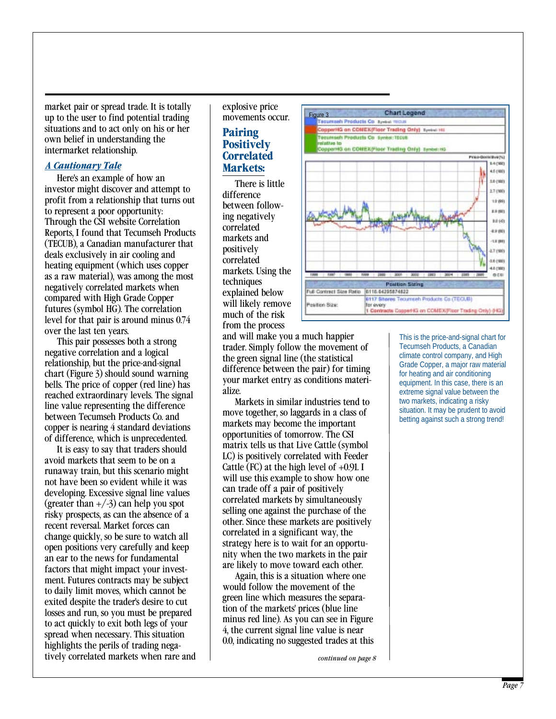market pair or spread trade. It is totally up to the user to find potential trading situations and to act only on his or her own belief in understanding the intermarket relationship.

#### *A Cautionary Tale*

Here's an example of how an investor might discover and attempt to profit from a relationship that turns out to represent a poor opportunity: Through the CSI website Correlation Reports, I found that Tecumseh Products (TECUB), a Canadian manufacturer that deals exclusively in air cooling and heating equipment (which uses copper as a raw material), was among the most negatively correlated markets when compared with High Grade Copper futures (symbol HG). The correlation level for that pair is around minus 0.74 over the last ten years.

This pair possesses both a strong negative correlation and a logical relationship, but the price-and-signal chart (Figure 3) should sound warning bells. The price of copper (red line) has reached extraordinary levels. The signal line value representing the difference between Tecumseh Products Co. and copper is nearing 4 standard deviations of difference, which is unprecedented.

It is easy to say that traders should avoid markets that seem to be on a runaway train, but this scenario might not have been so evident while it was developing. Excessive signal line values (greater than  $+/-3$ ) can help you spot risky prospects, as can the absence of a recent reversal. Market forces can change quickly, so be sure to watch all open positions very carefully and keep an ear to the news for fundamental factors that might impact your investment. Futures contracts may be subject to daily limit moves, which cannot be exited despite the trader's desire to cut losses and run, so you must be prepared to act quickly to exit both legs of your spread when necessary. This situation highlights the perils of trading negatively correlated markets when rare and explosive price movements occur.

### **Pairing Positively Correlated Markets:**

There is little difference between following negatively correlated markets and positively correlated markets. Using the techniques explained below will likely remove much of the risk from the process

and will make you a much happier trader. Simply follow the movement of the green signal line (the statistical difference between the pair) for timing your market entry as conditions materialize.

Markets in similar industries tend to move together, so laggards in a class of markets may become the important opportunities of tomorrow. The CSI matrix tells us that Live Cattle (symbol LC) is positively correlated with Feeder Cattle (FC) at the high level of  $+0.91$ . I will use this example to show how one can trade off a pair of positively correlated markets by simultaneously selling one against the purchase of the other. Since these markets are positively correlated in a significant way, the strategy here is to wait for an opportunity when the two markets in the pair are likely to move toward each other.

Again, this is a situation where one would follow the movement of the green line which measures the separation of the markets' prices (blue line minus red line). As you can see in Figure 4, the current signal line value is near 0.0, indicating no suggested trades at this

*continued on page 8* 



This is the price-and-signal chart for Tecumseh Products, a Canadian climate control company, and High Grade Copper, a major raw material for heating and air conditioning equipment. In this case, there is an extreme signal value between the two markets, indicating a risky situation. It may be prudent to avoid betting against such a strong trend!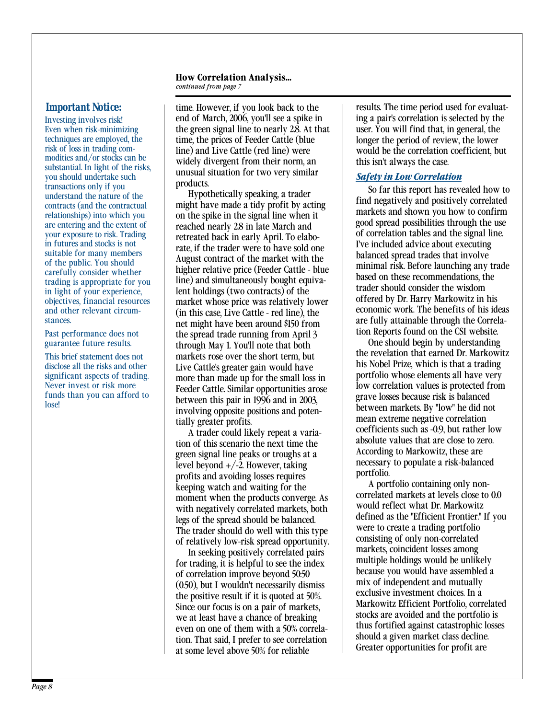#### **How Correlation Analysis...**  *continued from page 7*

substantial. In light of the risks, you should undertake such transactions only if you understand the nature of the contracts (and the contractual relationships) into which you are entering and the extent of your exposure to risk. Trading in futures and stocks is not suitable for many members of the public. You should carefully consider whether trading is appropriate for you in light of your experience,

Never invest or risk more funds than you can afford to lose!

Investing involves risk! end of March, 2006, you'll see a spike in ing a pair's correlation is selected by the Even when risk-minimizing the green signal line to nearly 2.8. At that user. You will find that, in general, th Even when risk-minimizing the green signal line to nearly 2.8. At that techniques are employed, the time, the prices of Feeder Cattle (blue techniques are employed, the time, the prices of Feeder Cattle (blue<br>risk of loss in trading com-<br>modities and/or stocks can be would by divergent from their norm and this jept always the case widely divergent from their norm, an unusual situation for two very similar products.

Hypothetically speaking, a trader might have made a tidy profit by acting on the spike in the signal line when it reached nearly 2.8 in late March and retreated back in early April. To elaborate, if the trader were to have sold one August contract of the market with the higher relative price (Feeder Cattle - blue line) and simultaneously bought equivalent holdings (two contracts) of the objectives, financial resources market whose price was relatively lower and other relevant circum-<br>and other relevant circum-<br>(in this case Live Cattle - red line) the example of the benefits of his identity of the seconom net might have been around \$150 from are fully attainable through the Correla-<br>the spread trade running from April 3 Past performance does not the spread trade running from April 3 tion Reports found on the CSI website.<br>
guarantee future results. through May 1 You'll note that both One should begin by understanding through May 1. You'll note that both One should begin by understanding<br>markets rose over the short term but the revelation that earned Dr. Markowitz This brief statement does not markets rose over the short term, but the revelation that earned Dr. Markowitz<br>disclose all the risks and other live Cattle's greater gain would have his Nobel Prize, which is that a trading disclose all the risks and other Live Cattle's greater gain would have his Nobel Prize, which is that a trading<br>significant aspects of trading more than made up for the small loss in portfolio whose elements all have very more than made up for the small loss in Feeder Cattle. Similar opportunities arose between this pair in 1996 and in 2003, involving opposite positions and potentially greater profits.

> tion of this scenario the next time the absolute values that are close to zero.<br>
> according to Markowitz, these are green signal line peaks or troughs at a According to Markowitz, these are<br>level beyond  $\pm$ /-2. However taking necessary to populate a risk-balanced level beyond  $+/-2$ . However, taking necessary<br>necessary portfolio. profits and avoiding losses requires<br>keeping watch and waiting for the profit in a portfolio containing only nonkeeping watch and waiting for the A portfolio containing only non-<br>moment when the products converge As correlated markets at levels close to 0.0 moment when the products converge. As correlated markets at levels close to only would reflect what Dr. Markowitz with negatively correlated markets, both legs of the spread should be balanced.<br>The trader should do well with this type were to create a trading portfolio The trader should do well with this type<br>of relatively low-risk spread opportunity

> In seeking positively correlated pairs markets, coincident losses among<br>trading it is beloful to see the index multiple holdings would be unlikely for trading, it is helpful to see the index multiple holdings would be unlikely<br>of correlation improve beyond 50.50 of correlation improve beyond 50.50 because you would have assemble<br> $(0.50)$  but I wouldn't necessarily dismiss mix of independent and mutually  $(0.50)$ , but I wouldn't necessarily dismiss mix of independent and mutually exclusive investment choices. In a the positive result if it is quoted at 50%.<br>Since our focus is on a pair of markets Markowitz Efficient Portfolio, correlated Since our focus is on a pair of markets,<br>we at least have a chance of breaking<br>stocks are avoided and the portfolio is we at least have a chance of breaking stocks are avoided and the portfolio is<br>even on one of them with a 50% correla. It us fortified against catastrophic losses even on one of them with a 50% correla-<br>tion. That said I prefer to see correlation should a given market class decline. tion. That said, I prefer to see correlation should a given market class decline.<br>st some level above 50% for reliable states opportunities for profit are at some level above 50% for reliable

*Important Notice:*  $\qquad$  time. However, if you look back to the results. The time period used for evaluatthis isn't always the case.

### *Safety in Low Correlation*

So far this report has revealed how to find negatively and positively correlated markets and shown you how to confirm good spread possibilities through the use of correlation tables and the signal line. I've included advice about executing balanced spread trades that involve minimal risk. Before launching any trade based on these recommendations, the trader should consider the wisdom and other relevant circum-<br>stances. (in this case, Live Cattle - red line), the economic work. The benefits of his ideas<br>are fully attainable through the Correla-

low correlation values is protected from grave losses because risk is balanced between markets. By "low" he did not A trader could likely repeat a varia-<br>A trader could likely repeat a varia-<br>a of this scenario the next time the absolute values that are close to zero.

of relatively low-risk spread opportunity.<br>In seeking positively correlated pairs and markets, coincident losses among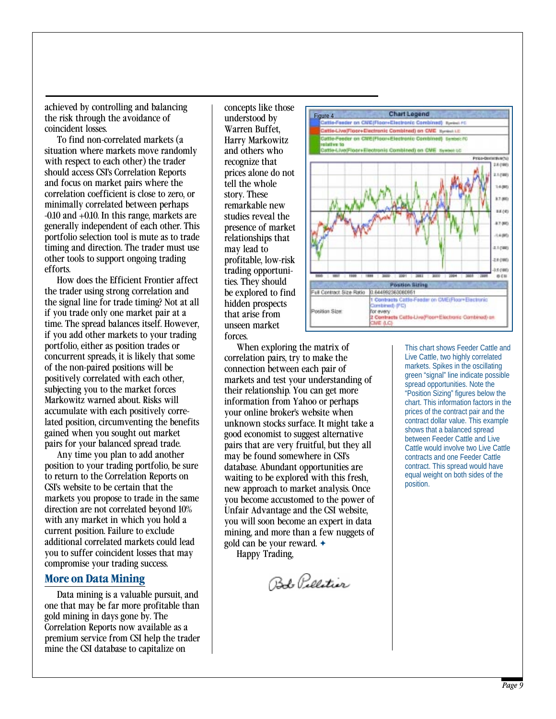achieved by controlling and balancing the risk through the avoidance of coincident losses.

To find non-correlated markets (a situation where markets move randomly with respect to each other) the trader should access CSI's Correlation Reports and focus on market pairs where the correlation coefficient is close to zero, or minimally correlated between perhaps -0.10 and +0.10. In this range, markets are generally independent of each other. This portfolio selection tool is mute as to trade timing and direction. The trader must use other tools to support ongoing trading efforts.

How does the Efficient Frontier affect the trader using strong correlation and the signal line for trade timing? Not at all if you trade only one market pair at a time. The spread balances itself. However, if you add other markets to your trading portfolio, either as position trades or concurrent spreads, it is likely that some of the non-paired positions will be positively correlated with each other, subjecting you to the market forces Markowitz warned about. Risks will accumulate with each positively correlated position, circumventing the benefits gained when you sought out market pairs for your balanced spread trade.

Any time you plan to add another position to your trading portfolio, be sure to return to the Correlation Reports on CSI's website to be certain that the markets you propose to trade in the same direction are not correlated beyond 10% with any market in which you hold a current position. Failure to exclude additional correlated markets could lead you to suffer coincident losses that may compromise your trading success.

### **More on Data Mining**

Data mining is a valuable pursuit, and one that may be far more profitable than gold mining in days gone by. The Correlation Reports now available as a premium service from CSI help the trader mine the CSI database to capitalize on

concepts like those understood by Warren Buffet, Harry Markowitz and others who recognize that prices alone do not tell the whole story. These remarkable new studies reveal the presence of market relationships that may lead to profitable, low-risk trading opportunities. They should be explored to find hidden prospects that arise from unseen market forces.

When exploring the matrix of correlation pairs, try to make the connection between each pair of markets and test your understanding of their relationship. You can get more information from Yahoo or perhaps your online broker's website when unknown stocks surface. It might take a good economist to suggest alternative pairs that are very fruitful, but they all may be found somewhere in CSI's database. Abundant opportunities are waiting to be explored with this fresh, new approach to market analysis. Once you become accustomed to the power of Unfair Advantage and the CSI website, you will soon become an expert in data mining, and more than a few nuggets of gold can be your reward. ✦ Happy Trading,

Bob Pelletier



This chart shows Feeder Cattle and Live Cattle, two highly correlated markets. Spikes in the oscillating green "signal" line indicate possible spread opportunities. Note the "Position Sizing" figures below the chart. This information factors in the prices of the contract pair and the contract dollar value. This example shows that a balanced spread between Feeder Cattle and Live Cattle would involve two Live Cattle contracts and one Feeder Cattle contract. This spread would have equal weight on both sides of the position.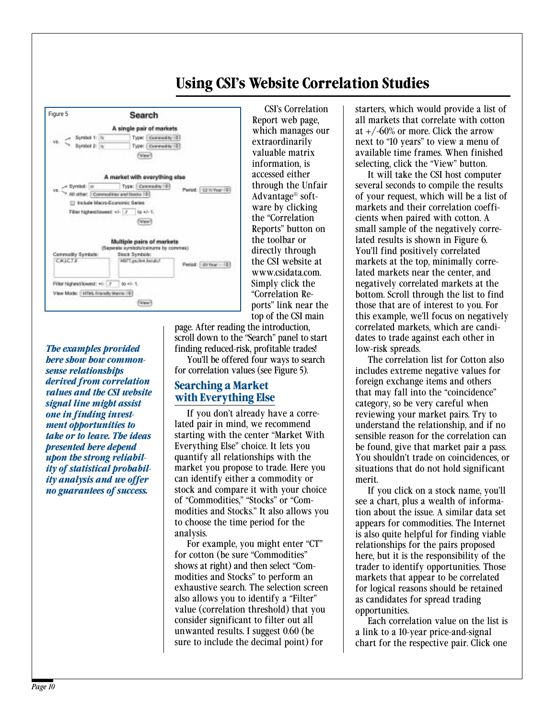# **Using CSI's Website Correlation Studies**



*The examples provided here show how commonsense relationships derived from correlation values and the CSI website signal line might assist one in finding investment opportunities to take or to leave. The ideas presented here depend upon the strong reliability of statistical probability analysis and we offer no guarantees of success.* 

CSI's Correlation Report web page, which manages our extraordinarily valuable matrix information, is accessed either through the Unfair Advantage® software by clicking the "Correlation Reports" button on the toolbar or directly through the CSI website at www.csidata.com. Simply click the "Correlation Reports" link near the top of the CSI main

page. After reading the introduction, scroll down to the "Search" panel to start finding reduced-risk, profitable trades! You'll be offered four ways to search for correlation values (see Figure 5).

### **Searching a Market with Everything Else**

If you don't already have a correlated pair in mind, we recommend starting with the center "Market With Everything Else" choice. It lets you quantify all relationships with the market you propose to trade. Here you can identify either a commodity or stock and compare it with your choice of "Commodities," "Stocks" or "Commodities and Stocks." It also allows you to choose the time period for the analysis.

For example, you might enter "CT" for cotton (be sure "Commodities" shows at right) and then select "Commodities and Stocks" to perform an exhaustive search. The selection screen also allows you to identify a "Filter" value (correlation threshold) that you consider significant to filter out all unwanted results. I suggest 0.60 (be sure to include the decimal point) for

starters, which would provide a list of all markets that correlate with cotton at  $+/-60\%$  or more. Click the arrow next to "10 years" to view a menu of available time frames. When finished selecting, click the "View" button.

It will take the CSI host computer several seconds to compile the results of your request, which will be a list of markets and their correlation coefficients when paired with cotton. A small sample of the negatively correlated results is shown in Figure 6. You'll find positively correlated markets at the top, minimally correlated markets near the center, and negatively correlated markets at the bottom. Scroll through the list to find those that are of interest to you. For this example, we'll focus on negatively correlated markets, which are candidates to trade against each other in low-risk spreads.

The correlation list for Cotton also includes extreme negative values for foreign exchange items and others that may fall into the "coincidence" category, so be very careful when reviewing your market pairs. Try to understand the relationship, and if no sensible reason for the correlation can be found, give that market pair a pass. You shouldn't trade on coincidences, or situations that do not hold significant merit.

If you click on a stock name, you'll see a chart, plus a wealth of information about the issue. A similar data set appears for commodities. The Internet is also quite helpful for finding viable relationships for the pairs proposed here, but it is the responsibility of the trader to identify opportunities. Those markets that appear to be correlated for logical reasons should be retained as candidates for spread trading opportunities.

Each correlation value on the list is a link to a 10-year price-and-signal chart for the respective pair. Click one